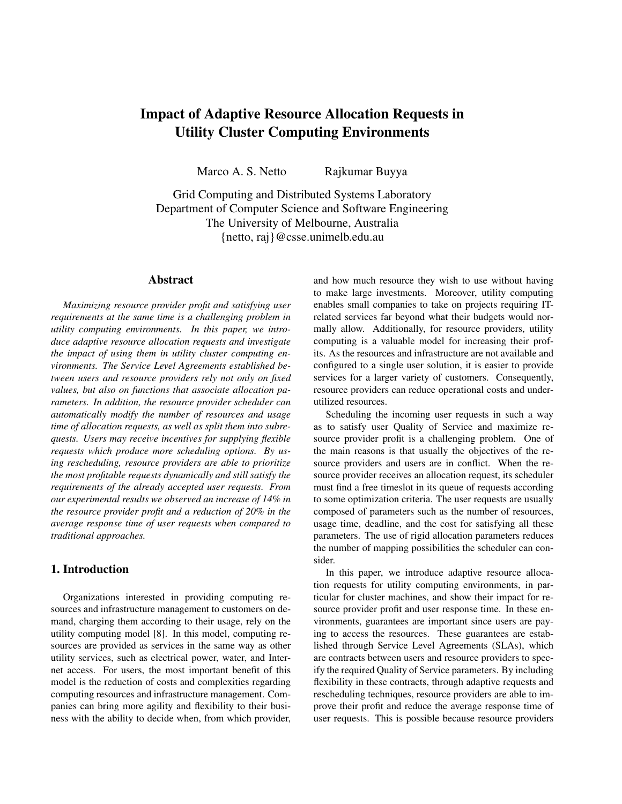# **Impact of Adaptive Resource Allocation Requests in Utility Cluster Computing Environments**

Marco A. S. Netto Rajkumar Buyya

Grid Computing and Distributed Systems Laboratory Department of Computer Science and Software Engineering The University of Melbourne, Australia {netto, raj}@csse.unimelb.edu.au

## **Abstract**

*Maximizing resource provider profit and satisfying user requirements at the same time is a challenging problem in utility computing environments. In this paper, we introduce adaptive resource allocation requests and investigate the impact of using them in utility cluster computing environments. The Service Level Agreements established between users and resource providers rely not only on fixed values, but also on functions that associate allocation parameters. In addition, the resource provider scheduler can automatically modify the number of resources and usage time of allocation requests, as well as split them into subrequests. Users may receive incentives for supplying flexible requests which produce more scheduling options. By using rescheduling, resource providers are able to prioritize the most profitable requests dynamically and still satisfy the requirements of the already accepted user requests. From our experimental results we observed an increase of 14% in the resource provider profit and a reduction of 20% in the average response time of user requests when compared to traditional approaches.*

# **1. Introduction**

Organizations interested in providing computing resources and infrastructure management to customers on demand, charging them according to their usage, rely on the utility computing model [8]. In this model, computing resources are provided as services in the same way as other utility services, such as electrical power, water, and Internet access. For users, the most important benefit of this model is the reduction of costs and complexities regarding computing resources and infrastructure management. Companies can bring more agility and flexibility to their business with the ability to decide when, from which provider, and how much resource they wish to use without having to make large investments. Moreover, utility computing enables small companies to take on projects requiring ITrelated services far beyond what their budgets would normally allow. Additionally, for resource providers, utility computing is a valuable model for increasing their profits. As the resources and infrastructure are not available and configured to a single user solution, it is easier to provide services for a larger variety of customers. Consequently, resource providers can reduce operational costs and underutilized resources.

Scheduling the incoming user requests in such a way as to satisfy user Quality of Service and maximize resource provider profit is a challenging problem. One of the main reasons is that usually the objectives of the resource providers and users are in conflict. When the resource provider receives an allocation request, its scheduler must find a free timeslot in its queue of requests according to some optimization criteria. The user requests are usually composed of parameters such as the number of resources, usage time, deadline, and the cost for satisfying all these parameters. The use of rigid allocation parameters reduces the number of mapping possibilities the scheduler can consider.

In this paper, we introduce adaptive resource allocation requests for utility computing environments, in particular for cluster machines, and show their impact for resource provider profit and user response time. In these environments, guarantees are important since users are paying to access the resources. These guarantees are established through Service Level Agreements (SLAs), which are contracts between users and resource providers to specify the required Quality of Service parameters. By including flexibility in these contracts, through adaptive requests and rescheduling techniques, resource providers are able to improve their profit and reduce the average response time of user requests. This is possible because resource providers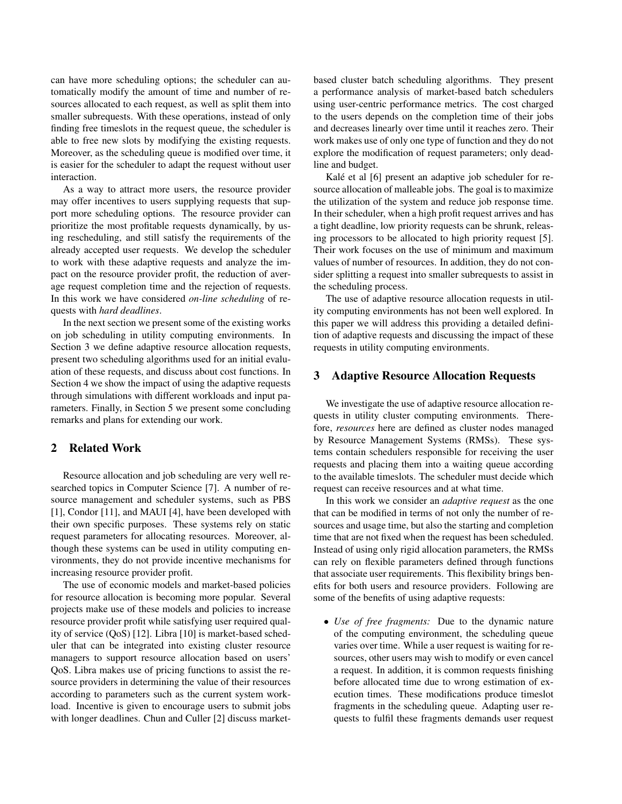can have more scheduling options; the scheduler can automatically modify the amount of time and number of resources allocated to each request, as well as split them into smaller subrequests. With these operations, instead of only finding free timeslots in the request queue, the scheduler is able to free new slots by modifying the existing requests. Moreover, as the scheduling queue is modified over time, it is easier for the scheduler to adapt the request without user interaction.

As a way to attract more users, the resource provider may offer incentives to users supplying requests that support more scheduling options. The resource provider can prioritize the most profitable requests dynamically, by using rescheduling, and still satisfy the requirements of the already accepted user requests. We develop the scheduler to work with these adaptive requests and analyze the impact on the resource provider profit, the reduction of average request completion time and the rejection of requests. In this work we have considered *on-line scheduling* of requests with *hard deadlines*.

In the next section we present some of the existing works on job scheduling in utility computing environments. In Section 3 we define adaptive resource allocation requests, present two scheduling algorithms used for an initial evaluation of these requests, and discuss about cost functions. In Section 4 we show the impact of using the adaptive requests through simulations with different workloads and input parameters. Finally, in Section 5 we present some concluding remarks and plans for extending our work.

#### **2 Related Work**

Resource allocation and job scheduling are very well researched topics in Computer Science [7]. A number of resource management and scheduler systems, such as PBS [1], Condor [11], and MAUI [4], have been developed with their own specific purposes. These systems rely on static request parameters for allocating resources. Moreover, although these systems can be used in utility computing environments, they do not provide incentive mechanisms for increasing resource provider profit.

The use of economic models and market-based policies for resource allocation is becoming more popular. Several projects make use of these models and policies to increase resource provider profit while satisfying user required quality of service (QoS) [12]. Libra [10] is market-based scheduler that can be integrated into existing cluster resource managers to support resource allocation based on users' QoS. Libra makes use of pricing functions to assist the resource providers in determining the value of their resources according to parameters such as the current system workload. Incentive is given to encourage users to submit jobs with longer deadlines. Chun and Culler [2] discuss marketbased cluster batch scheduling algorithms. They present a performance analysis of market-based batch schedulers using user-centric performance metrics. The cost charged to the users depends on the completion time of their jobs and decreases linearly over time until it reaches zero. Their work makes use of only one type of function and they do not explore the modification of request parameters; only deadline and budget.

Kalé et al [6] present an adaptive job scheduler for resource allocation of malleable jobs. The goal is to maximize the utilization of the system and reduce job response time. In their scheduler, when a high profit request arrives and has a tight deadline, low priority requests can be shrunk, releasing processors to be allocated to high priority request [5]. Their work focuses on the use of minimum and maximum values of number of resources. In addition, they do not consider splitting a request into smaller subrequests to assist in the scheduling process.

The use of adaptive resource allocation requests in utility computing environments has not been well explored. In this paper we will address this providing a detailed definition of adaptive requests and discussing the impact of these requests in utility computing environments.

#### **3 Adaptive Resource Allocation Requests**

We investigate the use of adaptive resource allocation requests in utility cluster computing environments. Therefore, *resources* here are defined as cluster nodes managed by Resource Management Systems (RMSs). These systems contain schedulers responsible for receiving the user requests and placing them into a waiting queue according to the available timeslots. The scheduler must decide which request can receive resources and at what time.

In this work we consider an *adaptive request* as the one that can be modified in terms of not only the number of resources and usage time, but also the starting and completion time that are not fixed when the request has been scheduled. Instead of using only rigid allocation parameters, the RMSs can rely on flexible parameters defined through functions that associate user requirements. This flexibility brings benefits for both users and resource providers. Following are some of the benefits of using adaptive requests:

• *Use of free fragments:* Due to the dynamic nature of the computing environment, the scheduling queue varies over time. While a user request is waiting for resources, other users may wish to modify or even cancel a request. In addition, it is common requests finishing before allocated time due to wrong estimation of execution times. These modifications produce timeslot fragments in the scheduling queue. Adapting user requests to fulfil these fragments demands user request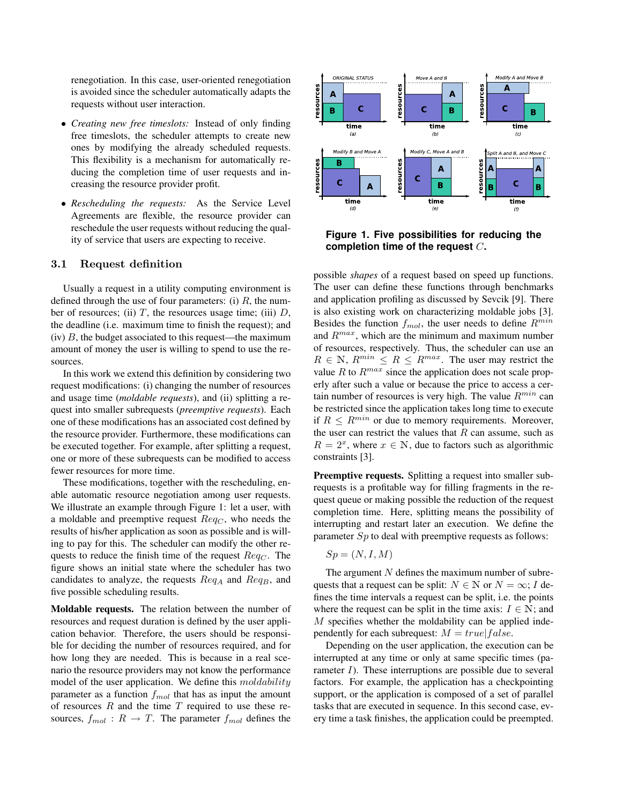renegotiation. In this case, user-oriented renegotiation is avoided since the scheduler automatically adapts the requests without user interaction.

- *Creating new free timeslots:* Instead of only finding free timeslots, the scheduler attempts to create new ones by modifying the already scheduled requests. This flexibility is a mechanism for automatically reducing the completion time of user requests and increasing the resource provider profit.
- *Rescheduling the requests:* As the Service Level Agreements are flexible, the resource provider can reschedule the user requests without reducing the quality of service that users are expecting to receive.

#### 3.1 Request definition

Usually a request in a utility computing environment is defined through the use of four parameters: (i)  $R$ , the number of resources; (ii)  $T$ , the resources usage time; (iii)  $D$ , the deadline (i.e. maximum time to finish the request); and  $(iv)$  B, the budget associated to this request—the maximum amount of money the user is willing to spend to use the resources.

In this work we extend this definition by considering two request modifications: (i) changing the number of resources and usage time (*moldable requests*), and (ii) splitting a request into smaller subrequests (*preemptive requests*). Each one of these modifications has an associated cost defined by the resource provider. Furthermore, these modifications can be executed together. For example, after splitting a request, one or more of these subrequests can be modified to access fewer resources for more time.

These modifications, together with the rescheduling, enable automatic resource negotiation among user requests. We illustrate an example through Figure 1: let a user, with a moldable and preemptive request  $Req_C$ , who needs the results of his/her application as soon as possible and is willing to pay for this. The scheduler can modify the other requests to reduce the finish time of the request  $Req_C$ . The figure shows an initial state where the scheduler has two candidates to analyze, the requests  $Req_A$  and  $Req_B$ , and five possible scheduling results.

**Moldable requests.** The relation between the number of resources and request duration is defined by the user application behavior. Therefore, the users should be responsible for deciding the number of resources required, and for how long they are needed. This is because in a real scenario the resource providers may not know the performance model of the user application. We define this moldability parameter as a function  $f_{mol}$  that has as input the amount of resources  $R$  and the time  $T$  required to use these resources,  $f_{mol}: R \rightarrow T$ . The parameter  $f_{mol}$  defines the



**Figure 1. Five possibilities for reducing the completion time of the request** C**.**

possible *shapes* of a request based on speed up functions. The user can define these functions through benchmarks and application profiling as discussed by Sevcik [9]. There is also existing work on characterizing moldable jobs [3]. Besides the function  $f_{mol}$ , the user needs to define  $R^{min}$ and  $R^{max}$ , which are the minimum and maximum number of resources, respectively. Thus, the scheduler can use an  $R \in \mathbb{N}$ ,  $R^{min} \leq R \leq R^{max}$ . The user may restrict the value  $R$  to  $R^{max}$  since the application does not scale properly after such a value or because the price to access a certain number of resources is very high. The value  $R^{min}$  can be restricted since the application takes long time to execute if  $R \le R^{min}$  or due to memory requirements. Moreover, the user can restrict the values that  $R$  can assume, such as  $R = 2^x$ , where  $x \in \mathbb{N}$ , due to factors such as algorithmic constraints [3].

**Preemptive requests.** Splitting a request into smaller subrequests is a profitable way for filling fragments in the request queue or making possible the reduction of the request completion time. Here, splitting means the possibility of interrupting and restart later an execution. We define the parameter  $Sp$  to deal with preemptive requests as follows:

$$
Sp = (N, I, M)
$$

The argument  $N$  defines the maximum number of subrequests that a request can be split:  $N \in \mathbb{N}$  or  $N = \infty$ ; I defines the time intervals a request can be split, i.e. the points where the request can be split in the time axis:  $I \in \mathbb{N}$ ; and M specifies whether the moldability can be applied independently for each subrequest:  $M = true | false$ .

Depending on the user application, the execution can be interrupted at any time or only at same specific times (parameter  $I$ ). These interruptions are possible due to several factors. For example, the application has a checkpointing support, or the application is composed of a set of parallel tasks that are executed in sequence. In this second case, every time a task finishes, the application could be preempted.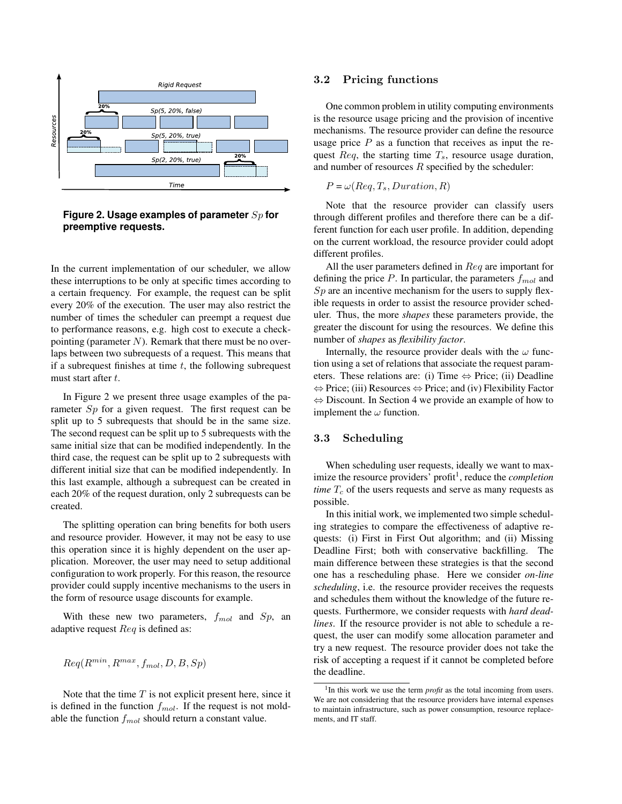



In the current implementation of our scheduler, we allow these interruptions to be only at specific times according to a certain frequency. For example, the request can be split every 20% of the execution. The user may also restrict the number of times the scheduler can preempt a request due to performance reasons, e.g. high cost to execute a checkpointing (parameter  $N$ ). Remark that there must be no overlaps between two subrequests of a request. This means that if a subrequest finishes at time  $t$ , the following subrequest must start after t.

In Figure 2 we present three usage examples of the parameter Sp for a given request. The first request can be split up to 5 subrequests that should be in the same size. The second request can be split up to 5 subrequests with the same initial size that can be modified independently. In the third case, the request can be split up to 2 subrequests with different initial size that can be modified independently. In this last example, although a subrequest can be created in each 20% of the request duration, only 2 subrequests can be created.

The splitting operation can bring benefits for both users and resource provider. However, it may not be easy to use this operation since it is highly dependent on the user application. Moreover, the user may need to setup additional configuration to work properly. For this reason, the resource provider could supply incentive mechanisms to the users in the form of resource usage discounts for example.

With these new two parameters,  $f_{mol}$  and  $Sp$ , an adaptive request Req is defined as:

$$
Req(R^{min}, R^{max}, f_{mol}, D, B, Sp)
$$

Note that the time  $T$  is not explicit present here, since it is defined in the function  $f_{mol}$ . If the request is not moldable the function  $f_{mol}$  should return a constant value.

#### 3.2 Pricing functions

One common problem in utility computing environments is the resource usage pricing and the provision of incentive mechanisms. The resource provider can define the resource usage price  $P$  as a function that receives as input the request  $Req$ , the starting time  $T_s$ , resource usage duration, and number of resources  $R$  specified by the scheduler:

 $P = \omega(Req, T_s, Duration, R)$ 

Note that the resource provider can classify users through different profiles and therefore there can be a different function for each user profile. In addition, depending on the current workload, the resource provider could adopt different profiles.

All the user parameters defined in  $\text{Re}q$  are important for defining the price  $P$ . In particular, the parameters  $f_{mol}$  and  $Sp$  are an incentive mechanism for the users to supply flexible requests in order to assist the resource provider scheduler. Thus, the more *shapes* these parameters provide, the greater the discount for using the resources. We define this number of *shapes* as *flexibility factor*.

Internally, the resource provider deals with the  $\omega$  function using a set of relations that associate the request parameters. These relations are: (i) Time  $\Leftrightarrow$  Price; (ii) Deadline ⇔ Price; (iii) Resources ⇔ Price; and (iv) Flexibility Factor ⇔ Discount. In Section 4 we provide an example of how to implement the  $\omega$  function.

#### 3.3 Scheduling

When scheduling user requests, ideally we want to maximize the resource providers' profit<sup>1</sup>, reduce the *completion time*  $T_c$  of the users requests and serve as many requests as possible.

In this initial work, we implemented two simple scheduling strategies to compare the effectiveness of adaptive requests: (i) First in First Out algorithm; and (ii) Missing Deadline First; both with conservative backfilling. The main difference between these strategies is that the second one has a rescheduling phase. Here we consider *on-line scheduling*, i.e. the resource provider receives the requests and schedules them without the knowledge of the future requests. Furthermore, we consider requests with *hard deadlines*. If the resource provider is not able to schedule a request, the user can modify some allocation parameter and try a new request. The resource provider does not take the risk of accepting a request if it cannot be completed before the deadline.

<sup>&</sup>lt;sup>1</sup>In this work we use the term *profit* as the total incoming from users. We are not considering that the resource providers have internal expenses to maintain infrastructure, such as power consumption, resource replacements, and IT staff.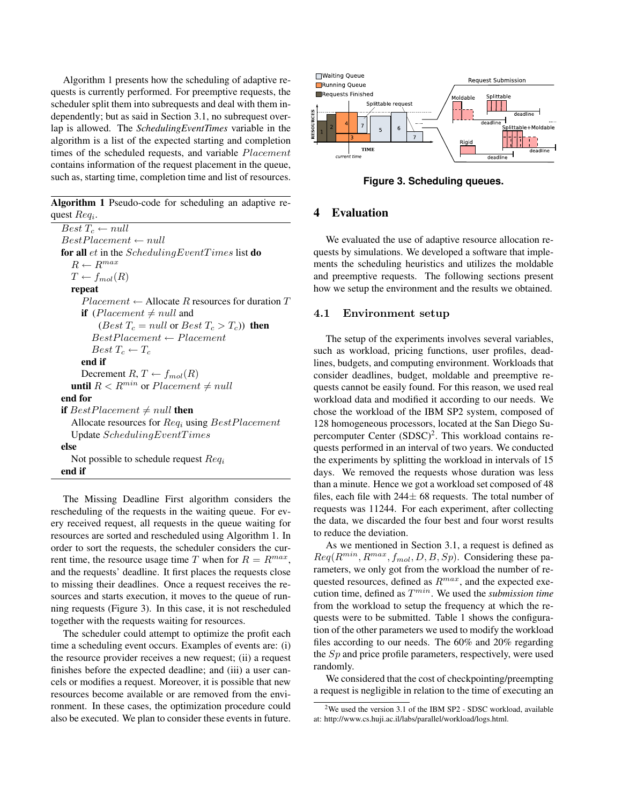Algorithm 1 presents how the scheduling of adaptive requests is currently performed. For preemptive requests, the scheduler split them into subrequests and deal with them independently; but as said in Section 3.1, no subrequest overlap is allowed. The *SchedulingEventTimes* variable in the algorithm is a list of the expected starting and completion times of the scheduled requests, and variable Placement contains information of the request placement in the queue, such as, starting time, completion time and list of resources.

**Algorithm 1** Pseudo-code for scheduling an adaptive request  $Req_i$ .

 $Best T_c \leftarrow null$  $BestPlacement \leftarrow null$ **for all** et in the SchedulingEventTimes list **do**  $R \leftarrow R^{max}$  $T \leftarrow f_{mol}(R)$ **repeat**  $Placent \leftarrow$  Allocate R resources for duration T **if** (*Placement*  $\neq$  *null* and (*Best*  $T_c = null$  or *Best*  $T_c > T_c$ ) **then**  $BestPlacement \leftarrow Placement$  $Best T_c \leftarrow T_c$ **end if** Decrement  $R, T \leftarrow f_{mol}(R)$ **until**  $R < R^{min}$  or  $Placement \neq null$ **end for if** BestPlacement  $\neq null$  **then** Allocate resources for  $Req<sub>i</sub>$  using  $BestPlacement$ Update SchedulingEventTimes **else** Not possible to schedule request  $Req_i$ **end if**

The Missing Deadline First algorithm considers the rescheduling of the requests in the waiting queue. For every received request, all requests in the queue waiting for resources are sorted and rescheduled using Algorithm 1. In order to sort the requests, the scheduler considers the current time, the resource usage time T when for  $R = R^{max}$ , and the requests' deadline. It first places the requests close to missing their deadlines. Once a request receives the resources and starts execution, it moves to the queue of running requests (Figure 3). In this case, it is not rescheduled together with the requests waiting for resources.

The scheduler could attempt to optimize the profit each time a scheduling event occurs. Examples of events are: (i) the resource provider receives a new request; (ii) a request finishes before the expected deadline; and (iii) a user cancels or modifies a request. Moreover, it is possible that new resources become available or are removed from the environment. In these cases, the optimization procedure could also be executed. We plan to consider these events in future.



**Figure 3. Scheduling queues.**

## **4 Evaluation**

We evaluated the use of adaptive resource allocation requests by simulations. We developed a software that implements the scheduling heuristics and utilizes the moldable and preemptive requests. The following sections present how we setup the environment and the results we obtained.

#### 4.1 Environment setup

The setup of the experiments involves several variables, such as workload, pricing functions, user profiles, deadlines, budgets, and computing environment. Workloads that consider deadlines, budget, moldable and preemptive requests cannot be easily found. For this reason, we used real workload data and modified it according to our needs. We chose the workload of the IBM SP2 system, composed of 128 homogeneous processors, located at the San Diego Supercomputer Center  $(SDSC)^2$ . This workload contains requests performed in an interval of two years. We conducted the experiments by splitting the workload in intervals of 15 days. We removed the requests whose duration was less than a minute. Hence we got a workload set composed of 48 files, each file with  $244\pm 68$  requests. The total number of requests was 11244. For each experiment, after collecting the data, we discarded the four best and four worst results to reduce the deviation.

As we mentioned in Section 3.1, a request is defined as  $Req(R^{min}, R^{max}, f_{mol}, D, B, Sp)$ . Considering these parameters, we only got from the workload the number of requested resources, defined as  $R^{max}$ , and the expected execution time, defined as  $T^{min}$ . We used the *submission time* from the workload to setup the frequency at which the requests were to be submitted. Table 1 shows the configuration of the other parameters we used to modify the workload files according to our needs. The 60% and 20% regarding the  $Sp$  and price profile parameters, respectively, were used randomly.

We considered that the cost of checkpointing/preempting a request is negligible in relation to the time of executing an

<sup>2</sup>We used the version 3.1 of the IBM SP2 - SDSC workload, available at: http://www.cs.huji.ac.il/labs/parallel/workload/logs.html.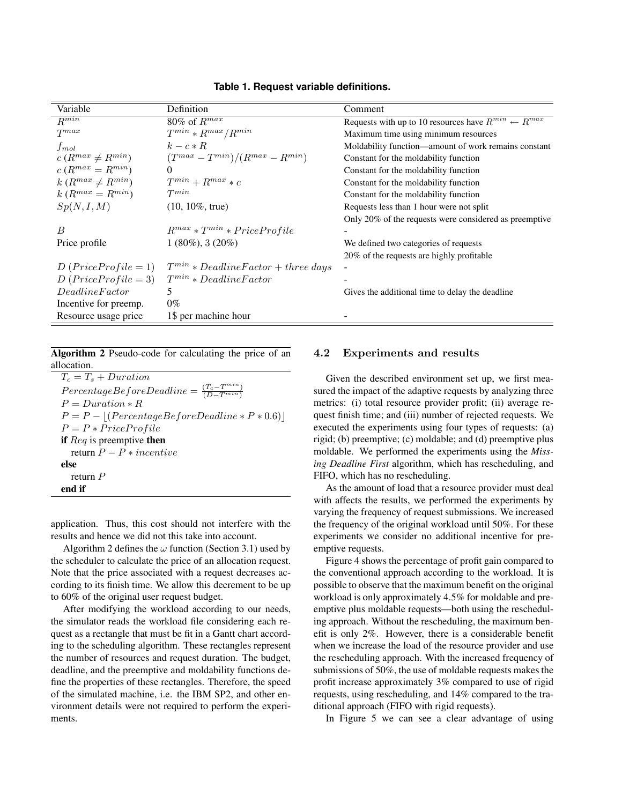| Variable                  | Definition                                | Comment                                                            |
|---------------------------|-------------------------------------------|--------------------------------------------------------------------|
| $R^{min}$                 | 80% of $R^{max}$                          | Requests with up to 10 resources have $R^{min} \leftarrow R^{max}$ |
| $T^{max}$                 | $T^{min} * R^{max}/R^{min}$               | Maximum time using minimum resources                               |
| $f_{mol}$                 | $k-c * R$                                 | Moldability function—amount of work remains constant               |
| $c(R^{max} \neq R^{min})$ | $(T^{max}-T^{min})/(R^{max}-R^{min})$     | Constant for the moldability function                              |
| $c(R^{max} = R^{min})$    |                                           | Constant for the moldability function                              |
| $k(R^{max} \neq R^{min})$ | $T^{min} + R^{max} * c$                   | Constant for the moldability function                              |
| $k(R^{max} = R^{min})$    | $T^{min}$                                 | Constant for the moldability function                              |
| Sp(N, I, M)               | $(10, 10\%,$ true)                        | Requests less than 1 hour were not split                           |
|                           |                                           | Only 20% of the requests were considered as preemptive             |
| B                         | $R^{max} * T^{min} * PriceProject$        |                                                                    |
| Price profile             | $1(80\%)$ , 3 (20\%)                      | We defined two categories of requests                              |
|                           |                                           | 20% of the requests are highly profitable                          |
| $D(Price Profile = 1)$    | $T^{min} * DeadlineFactor + three \ days$ |                                                                    |
| $D(Price Profile = 3)$    | $T^{min} * DeadlineFactor$                |                                                                    |
| DeadlineFactor            | 5.                                        | Gives the additional time to delay the deadline                    |
| Incentive for preemp.     | $0\%$                                     |                                                                    |
| Resource usage price      | 1\$ per machine hour                      |                                                                    |

**Table 1. Request variable definitions.**

**Algorithm 2** Pseudo-code for calculating the price of an allocation.

| $T_c = T_s + Duration$                                             |
|--------------------------------------------------------------------|
| $PercentageBeforeDeadline = \frac{(T_c - T^{min})}{(D - T^{min})}$ |
| $P = \text{Duration} * R$                                          |
| $P = P -  (PercentageBeforeDeadline * P * 0.6) $                   |
| $P = P * PriceProfile$                                             |
| if $\text{Re}q$ is preemptive then                                 |
| return $P - P$ * <i>incentive</i>                                  |
| else                                                               |
| return $P$                                                         |
| end if                                                             |

application. Thus, this cost should not interfere with the results and hence we did not this take into account.

Algorithm 2 defines the  $\omega$  function (Section 3.1) used by the scheduler to calculate the price of an allocation request. Note that the price associated with a request decreases according to its finish time. We allow this decrement to be up to 60% of the original user request budget.

After modifying the workload according to our needs, the simulator reads the workload file considering each request as a rectangle that must be fit in a Gantt chart according to the scheduling algorithm. These rectangles represent the number of resources and request duration. The budget, deadline, and the preemptive and moldability functions define the properties of these rectangles. Therefore, the speed of the simulated machine, i.e. the IBM SP2, and other environment details were not required to perform the experiments.

#### 4.2 Experiments and results

Given the described environment set up, we first measured the impact of the adaptive requests by analyzing three metrics: (i) total resource provider profit; (ii) average request finish time; and (iii) number of rejected requests. We executed the experiments using four types of requests: (a) rigid; (b) preemptive; (c) moldable; and (d) preemptive plus moldable. We performed the experiments using the *Missing Deadline First* algorithm, which has rescheduling, and FIFO, which has no rescheduling.

As the amount of load that a resource provider must deal with affects the results, we performed the experiments by varying the frequency of request submissions. We increased the frequency of the original workload until 50%. For these experiments we consider no additional incentive for preemptive requests.

Figure 4 shows the percentage of profit gain compared to the conventional approach according to the workload. It is possible to observe that the maximum benefit on the original workload is only approximately 4.5% for moldable and preemptive plus moldable requests—both using the rescheduling approach. Without the rescheduling, the maximum benefit is only 2%. However, there is a considerable benefit when we increase the load of the resource provider and use the rescheduling approach. With the increased frequency of submissions of 50%, the use of moldable requests makes the profit increase approximately 3% compared to use of rigid requests, using rescheduling, and 14% compared to the traditional approach (FIFO with rigid requests).

In Figure 5 we can see a clear advantage of using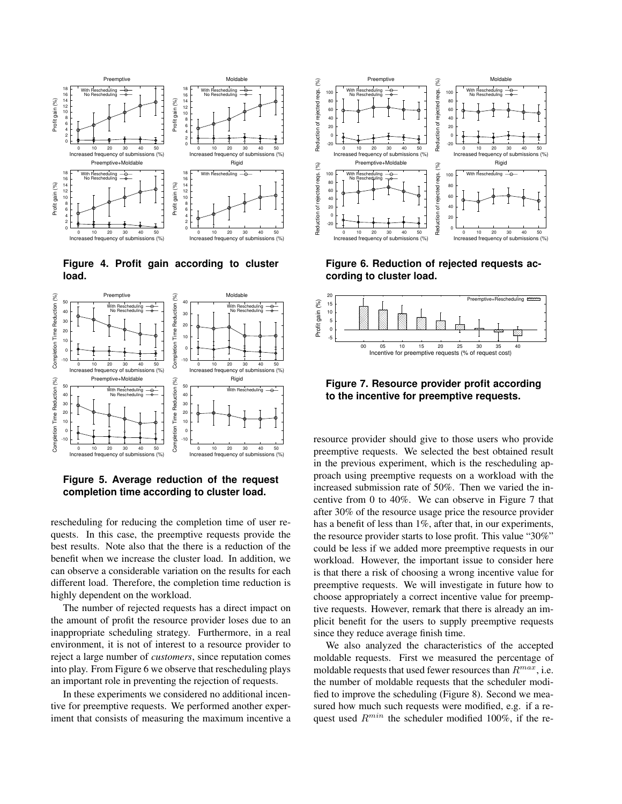

**Figure 4. Profit gain according to cluster load.**



**Figure 5. Average reduction of the request completion time according to cluster load.**

rescheduling for reducing the completion time of user requests. In this case, the preemptive requests provide the best results. Note also that the there is a reduction of the benefit when we increase the cluster load. In addition, we can observe a considerable variation on the results for each different load. Therefore, the completion time reduction is highly dependent on the workload.

The number of rejected requests has a direct impact on the amount of profit the resource provider loses due to an inappropriate scheduling strategy. Furthermore, in a real environment, it is not of interest to a resource provider to reject a large number of *customers*, since reputation comes into play. From Figure 6 we observe that rescheduling plays an important role in preventing the rejection of requests.

In these experiments we considered no additional incentive for preemptive requests. We performed another experiment that consists of measuring the maximum incentive a



**Figure 6. Reduction of rejected requests according to cluster load.**



**Figure 7. Resource provider profit according to the incentive for preemptive requests.**

resource provider should give to those users who provide preemptive requests. We selected the best obtained result in the previous experiment, which is the rescheduling approach using preemptive requests on a workload with the increased submission rate of 50%. Then we varied the incentive from 0 to 40%. We can observe in Figure 7 that after 30% of the resource usage price the resource provider has a benefit of less than 1%, after that, in our experiments, the resource provider starts to lose profit. This value "30%" could be less if we added more preemptive requests in our workload. However, the important issue to consider here is that there a risk of choosing a wrong incentive value for preemptive requests. We will investigate in future how to choose appropriately a correct incentive value for preemptive requests. However, remark that there is already an implicit benefit for the users to supply preemptive requests since they reduce average finish time.

We also analyzed the characteristics of the accepted moldable requests. First we measured the percentage of moldable requests that used fewer resources than  $R^{max}$ , i.e. the number of moldable requests that the scheduler modified to improve the scheduling (Figure 8). Second we measured how much such requests were modified, e.g. if a request used  $R^{min}$  the scheduler modified 100%, if the re-